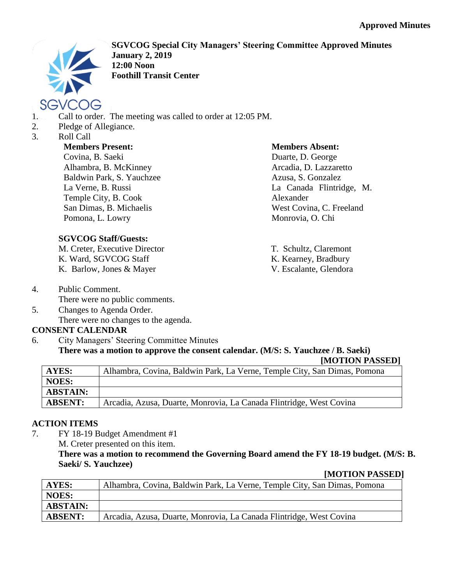

**SGVCOG Special City Managers' Steering Committee Approved Minutes January 2, 2019 12:00 Noon Foothill Transit Center**

- 1. Call to order. The meeting was called to order at 12:05 PM.
- 2. Pledge of Allegiance.
- 3. Roll Call

# **Members Present:**

Covina, B. Saeki Alhambra, B. McKinney Baldwin Park, S. Yauchzee La Verne, B. Russi Temple City, B. Cook San Dimas, B. Michaelis Pomona, L. Lowry

# **SGVCOG Staff/Guests:**

M. Creter, Executive Director K. Ward, SGVCOG Staff K. Barlow, Jones & Mayer

- 4. Public Comment. There were no public comments.
- 5. Changes to Agenda Order. There were no changes to the agenda.

# **CONSENT CALENDAR**

6. City Managers' Steering Committee Minutes **There was a motion to approve the consent calendar. (M/S: S. Yauchzee / B. Saeki) [MOTION PASSED]**

| <b>AYES:</b>    | Alhambra, Covina, Baldwin Park, La Verne, Temple City, San Dimas, Pomona |
|-----------------|--------------------------------------------------------------------------|
| NOES:           |                                                                          |
| <b>ABSTAIN:</b> |                                                                          |
| <b>ABSENT:</b>  | Arcadia, Azusa, Duarte, Monrovia, La Canada Flintridge, West Covina      |

# **ACTION ITEMS**

7. FY 18-19 Budget Amendment #1

M. Creter presented on this item.

**There was a motion to recommend the Governing Board amend the FY 18-19 budget. (M/S: B. Saeki/ S. Yauchzee)**

### **[MOTION PASSED]**

| AYES:           | Alhambra, Covina, Baldwin Park, La Verne, Temple City, San Dimas, Pomona |
|-----------------|--------------------------------------------------------------------------|
| NOES:           |                                                                          |
| <b>ABSTAIN:</b> |                                                                          |
| <b>ABSENT:</b>  | Arcadia, Azusa, Duarte, Monrovia, La Canada Flintridge, West Covina      |

#### **Members Absent:**

Duarte, D. George Arcadia, D. Lazzaretto Azusa, S. Gonzalez La Canada Flintridge, M. Alexander West Covina, C. Freeland Monrovia, O. Chi

T. Schultz, Claremont K. Kearney, Bradbury V. Escalante, Glendora